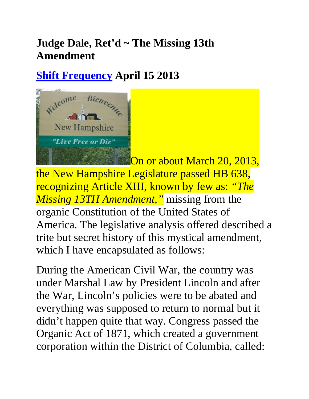## **Judge Dale, Ret'd ~ The Missing 13th Amendment**

## **Shift Frequency April 15 2013**



On or about March 20, 2013, the New Hampshire Legislature passed HB 638, recognizing Article XIII, known by few as: *"The Missing 13TH Amendment,"* missing from the organic Constitution of the United States of America. The legislative analysis offered described a trite but secret history of this mystical amendment, which I have encapsulated as follows:

During the American Civil War, the country was under Marshal Law by President Lincoln and after the War, Lincoln's policies were to be abated and everything was supposed to return to normal but it didn't happen quite that way. Congress passed the Organic Act of 1871, which created a government corporation within the District of Columbia, called: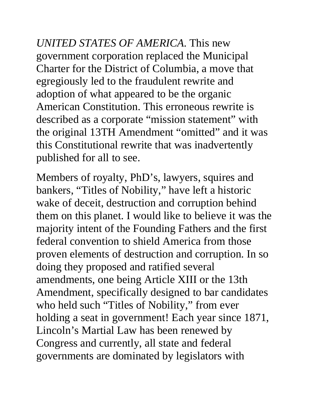*UNITED STATES OF AMERICA*. This new government corporation replaced the Municipal Charter for the District of Columbia, a move that egregiously led to the fraudulent rewrite and adoption of what appeared to be the organic American Constitution. This erroneous rewrite is described as a corporate "mission statement" with the original 13TH Amendment "omitted" and it was this Constitutional rewrite that was inadvertently published for all to see.

Members of royalty, PhD's, lawyers, squires and bankers, "Titles of Nobility," have left a historic wake of deceit, destruction and corruption behind them on this planet. I would like to believe it was the majority intent of the Founding Fathers and the first federal convention to shield America from those proven elements of destruction and corruption. In so doing they proposed and ratified several amendments, one being Article XIII or the 13th Amendment, specifically designed to bar candidates who held such "Titles of Nobility," from ever holding a seat in government! Each year since 1871, Lincoln's Martial Law has been renewed by Congress and currently, all state and federal governments are dominated by legislators with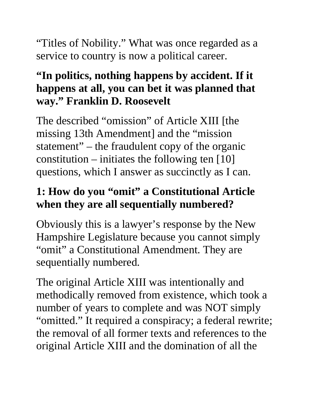"Titles of Nobility." What was once regarded as a service to country is now a political career.

### **"In politics, nothing happens by accident. If it happens at all, you can bet it was planned that way." Franklin D. Roosevelt**

The described "omission" of Article XIII [the missing 13th Amendment] and the "mission statement" – the fraudulent copy of the organic constitution – initiates the following ten [10] questions, which I answer as succinctly as I can.

## **1: How do you "omit" a Constitutional Article when they are all sequentially numbered?**

Obviously this is a lawyer's response by the New Hampshire Legislature because you cannot simply "omit" a Constitutional Amendment. They are sequentially numbered.

The original Article XIII was intentionally and methodically removed from existence, which took a number of years to complete and was NOT simply "omitted." It required a conspiracy; a federal rewrite; the removal of all former texts and references to the original Article XIII and the domination of all the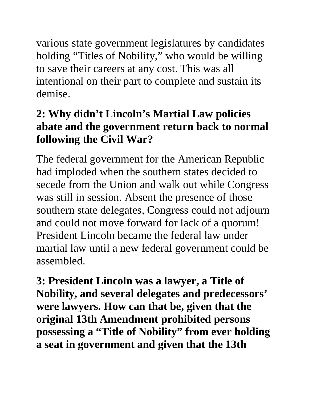various state government legislatures by candidates holding "Titles of Nobility," who would be willing to save their careers at any cost. This was all intentional on their part to complete and sustain its demise.

### **2: Why didn't Lincoln's Martial Law policies abate and the government return back to normal following the Civil War?**

The federal government for the American Republic had imploded when the southern states decided to secede from the Union and walk out while Congress was still in session. Absent the presence of those southern state delegates, Congress could not adjourn and could not move forward for lack of a quorum! President Lincoln became the federal law under martial law until a new federal government could be assembled.

**3: President Lincoln was a lawyer, a Title of Nobility, and several delegates and predecessors' were lawyers. How can that be, given that the original 13th Amendment prohibited persons possessing a "Title of Nobility" from ever holding a seat in government and given that the 13th**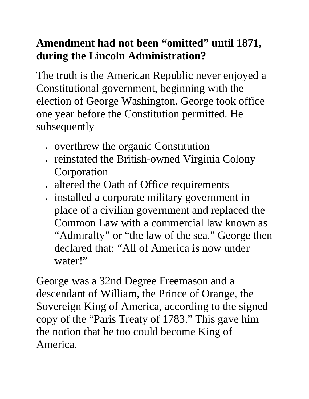## **Amendment had not been "omitted" until 1871, during the Lincoln Administration?**

The truth is the American Republic never enjoyed a Constitutional government, beginning with the election of George Washington. George took office one year before the Constitution permitted. He subsequently

- overthrew the organic Constitution
- reinstated the British-owned Virginia Colony Corporation
- altered the Oath of Office requirements
- installed a corporate military government in place of a civilian government and replaced the Common Law with a commercial law known as "Admiralty" or "the law of the sea." George then declared that: "All of America is now under water!"

George was a 32nd Degree Freemason and a descendant of William, the Prince of Orange, the Sovereign King of America, according to the signed copy of the "Paris Treaty of 1783." This gave him the notion that he too could become King of America.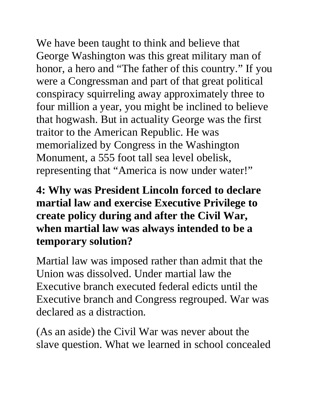We have been taught to think and believe that George Washington was this great military man of honor, a hero and "The father of this country." If you were a Congressman and part of that great political conspiracy squirreling away approximately three to four million a year, you might be inclined to believe that hogwash. But in actuality George was the first traitor to the American Republic. He was memorialized by Congress in the Washington Monument, a 555 foot tall sea level obelisk, representing that "America is now under water!"

#### **4: Why was President Lincoln forced to declare martial law and exercise Executive Privilege to create policy during and after the Civil War, when martial law was always intended to be a temporary solution?**

Martial law was imposed rather than admit that the Union was dissolved. Under martial law the Executive branch executed federal edicts until the Executive branch and Congress regrouped. War was declared as a distraction.

(As an aside) the Civil War was never about the slave question. What we learned in school concealed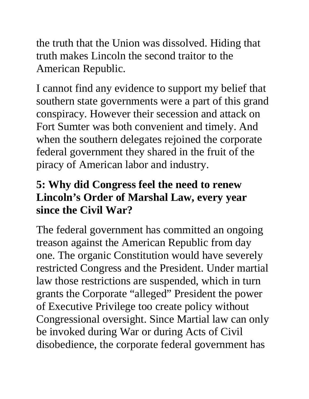the truth that the Union was dissolved. Hiding that truth makes Lincoln the second traitor to the American Republic.

I cannot find any evidence to support my belief that southern state governments were a part of this grand conspiracy. However their secession and attack on Fort Sumter was both convenient and timely. And when the southern delegates rejoined the corporate federal government they shared in the fruit of the piracy of American labor and industry.

#### **5: Why did Congress feel the need to renew Lincoln's Order of Marshal Law, every year since the Civil War?**

The federal government has committed an ongoing treason against the American Republic from day one. The organic Constitution would have severely restricted Congress and the President. Under martial law those restrictions are suspended, which in turn grants the Corporate "alleged" President the power of Executive Privilege too create policy without Congressional oversight. Since Martial law can only be invoked during War or during Acts of Civil disobedience, the corporate federal government has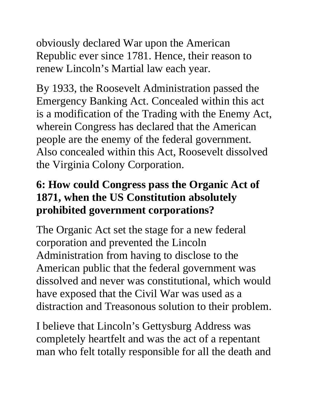obviously declared War upon the American Republic ever since 1781. Hence, their reason to renew Lincoln's Martial law each year.

By 1933, the Roosevelt Administration passed the Emergency Banking Act. Concealed within this act is a modification of the Trading with the Enemy Act, wherein Congress has declared that the American people are the enemy of the federal government. Also concealed within this Act, Roosevelt dissolved the Virginia Colony Corporation.

#### **6: How could Congress pass the Organic Act of 1871, when the US Constitution absolutely prohibited government corporations?**

The Organic Act set the stage for a new federal corporation and prevented the Lincoln Administration from having to disclose to the American public that the federal government was dissolved and never was constitutional, which would have exposed that the Civil War was used as a distraction and Treasonous solution to their problem.

I believe that Lincoln's Gettysburg Address was completely heartfelt and was the act of a repentant man who felt totally responsible for all the death and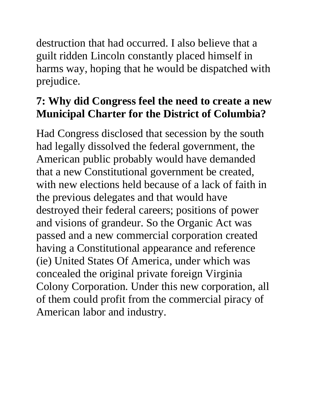destruction that had occurred. I also believe that a guilt ridden Lincoln constantly placed himself in harms way, hoping that he would be dispatched with prejudice.

## **7: Why did Congress feel the need to create a new Municipal Charter for the District of Columbia?**

Had Congress disclosed that secession by the south had legally dissolved the federal government, the American public probably would have demanded that a new Constitutional government be created, with new elections held because of a lack of faith in the previous delegates and that would have destroyed their federal careers; positions of power and visions of grandeur. So the Organic Act was passed and a new commercial corporation created having a Constitutional appearance and reference (ie) United States Of America, under which was concealed the original private foreign Virginia Colony Corporation. Under this new corporation, all of them could profit from the commercial piracy of American labor and industry.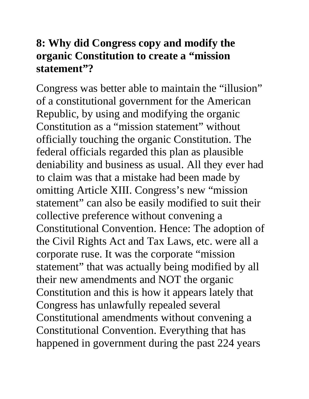#### **8: Why did Congress copy and modify the organic Constitution to create a "mission statement"?**

Congress was better able to maintain the "illusion" of a constitutional government for the American Republic, by using and modifying the organic Constitution as a "mission statement" without officially touching the organic Constitution. The federal officials regarded this plan as plausible deniability and business as usual. All they ever had to claim was that a mistake had been made by omitting Article XIII. Congress's new "mission statement" can also be easily modified to suit their collective preference without convening a Constitutional Convention. Hence: The adoption of the Civil Rights Act and Tax Laws, etc. were all a corporate ruse. It was the corporate "mission statement" that was actually being modified by all their new amendments and NOT the organic Constitution and this is how it appears lately that Congress has unlawfully repealed several Constitutional amendments without convening a Constitutional Convention. Everything that has happened in government during the past 224 years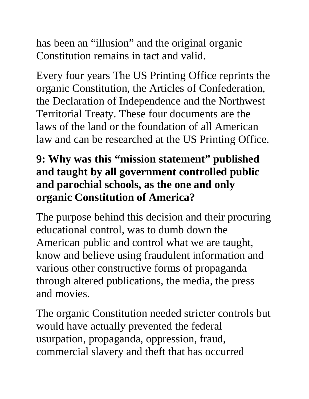has been an "illusion" and the original organic Constitution remains in tact and valid.

Every four years The US Printing Office reprints the organic Constitution, the Articles of Confederation, the Declaration of Independence and the Northwest Territorial Treaty. These four documents are the laws of the land or the foundation of all American law and can be researched at the US Printing Office.

### **9: Why was this "mission statement" published and taught by all government controlled public and parochial schools, as the one and only organic Constitution of America?**

The purpose behind this decision and their procuring educational control, was to dumb down the American public and control what we are taught, know and believe using fraudulent information and various other constructive forms of propaganda through altered publications, the media, the press and movies.

The organic Constitution needed stricter controls but would have actually prevented the federal usurpation, propaganda, oppression, fraud, commercial slavery and theft that has occurred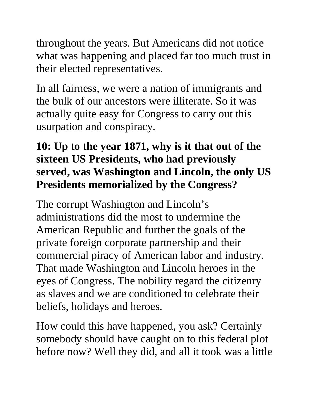throughout the years. But Americans did not notice what was happening and placed far too much trust in their elected representatives.

In all fairness, we were a nation of immigrants and the bulk of our ancestors were illiterate. So it was actually quite easy for Congress to carry out this usurpation and conspiracy.

### **10: Up to the year 1871, why is it that out of the sixteen US Presidents, who had previously served, was Washington and Lincoln, the only US Presidents memorialized by the Congress?**

The corrupt Washington and Lincoln's administrations did the most to undermine the American Republic and further the goals of the private foreign corporate partnership and their commercial piracy of American labor and industry. That made Washington and Lincoln heroes in the eyes of Congress. The nobility regard the citizenry as slaves and we are conditioned to celebrate their beliefs, holidays and heroes.

How could this have happened, you ask? Certainly somebody should have caught on to this federal plot before now? Well they did, and all it took was a little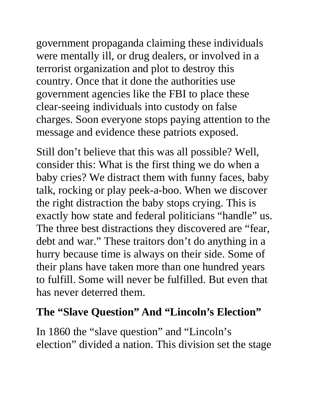government propaganda claiming these individuals were mentally ill, or drug dealers, or involved in a terrorist organization and plot to destroy this country. Once that it done the authorities use government agencies like the FBI to place these clear-seeing individuals into custody on false charges. Soon everyone stops paying attention to the message and evidence these patriots exposed.

Still don't believe that this was all possible? Well, consider this: What is the first thing we do when a baby cries? We distract them with funny faces, baby talk, rocking or play peek-a-boo. When we discover the right distraction the baby stops crying. This is exactly how state and federal politicians "handle" us. The three best distractions they discovered are "fear, debt and war." These traitors don't do anything in a hurry because time is always on their side. Some of their plans have taken more than one hundred years to fulfill. Some will never be fulfilled. But even that has never deterred them.

#### **The "Slave Question" And "Lincoln's Election"**

In 1860 the "slave question" and "Lincoln's election" divided a nation. This division set the stage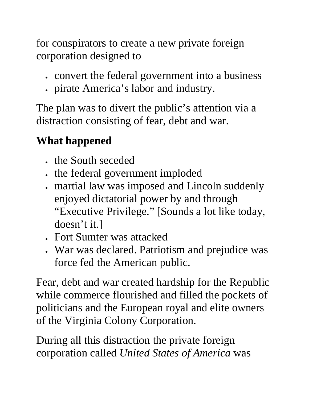for conspirators to create a new private foreign corporation designed to

- convert the federal government into a business
- pirate America's labor and industry.

The plan was to divert the public's attention via a distraction consisting of fear, debt and war.

# **What happened**

- the South seceded
- the federal government imploded
- martial law was imposed and Lincoln suddenly enjoyed dictatorial power by and through "Executive Privilege." [Sounds a lot like today, doesn't it.]
- Fort Sumter was attacked
- War was declared. Patriotism and prejudice was force fed the American public.

Fear, debt and war created hardship for the Republic while commerce flourished and filled the pockets of politicians and the European royal and elite owners of the Virginia Colony Corporation.

During all this distraction the private foreign corporation called *United States of America* was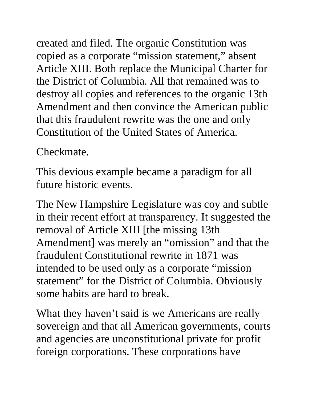created and filed. The organic Constitution was copied as a corporate "mission statement," absent Article XIII. Both replace the Municipal Charter for the District of Columbia. All that remained was to destroy all copies and references to the organic 13th Amendment and then convince the American public that this fraudulent rewrite was the one and only Constitution of the United States of America.

Checkmate.

This devious example became a paradigm for all future historic events.

The New Hampshire Legislature was coy and subtle in their recent effort at transparency. It suggested the removal of Article XIII [the missing 13th Amendment] was merely an "omission" and that the fraudulent Constitutional rewrite in 1871 was intended to be used only as a corporate "mission statement" for the District of Columbia. Obviously some habits are hard to break.

What they haven't said is we Americans are really sovereign and that all American governments, courts and agencies are unconstitutional private for profit foreign corporations. These corporations have